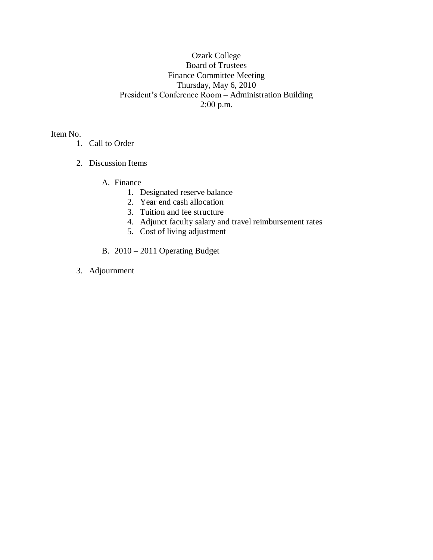## Ozark College Board of Trustees Finance Committee Meeting Thursday, May 6, 2010 President's Conference Room – Administration Building 2:00 p.m.

Item No.

- 1. Call to Order
- 2. Discussion Items

A. Finance

- 1. Designated reserve balance
- 2. Year end cash allocation
- 3. Tuition and fee structure
- 4. Adjunct faculty salary and travel reimbursement rates
- 5. Cost of living adjustment
- B. 2010 2011 Operating Budget
- 3. Adjournment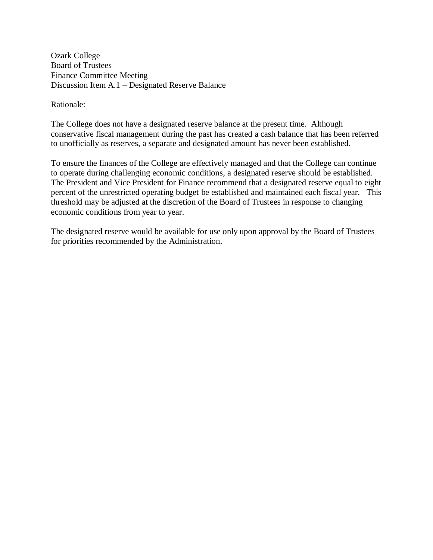Ozark College Board of Trustees Finance Committee Meeting Discussion Item A.1 – Designated Reserve Balance

Rationale:

The College does not have a designated reserve balance at the present time. Although conservative fiscal management during the past has created a cash balance that has been referred to unofficially as reserves, a separate and designated amount has never been established.

To ensure the finances of the College are effectively managed and that the College can continue to operate during challenging economic conditions, a designated reserve should be established. The President and Vice President for Finance recommend that a designated reserve equal to eight percent of the unrestricted operating budget be established and maintained each fiscal year. This threshold may be adjusted at the discretion of the Board of Trustees in response to changing economic conditions from year to year.

The designated reserve would be available for use only upon approval by the Board of Trustees for priorities recommended by the Administration.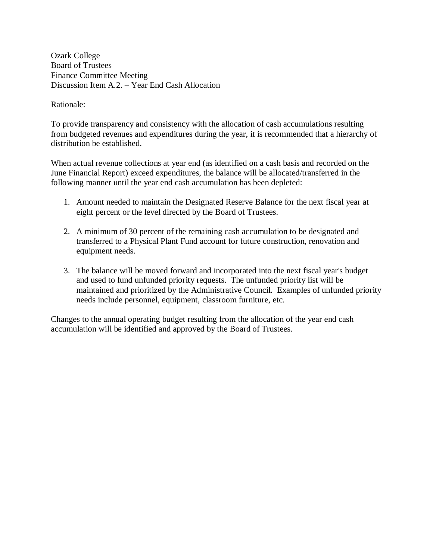Ozark College Board of Trustees Finance Committee Meeting Discussion Item A.2. – Year End Cash Allocation

Rationale:

To provide transparency and consistency with the allocation of cash accumulations resulting from budgeted revenues and expenditures during the year, it is recommended that a hierarchy of distribution be established.

When actual revenue collections at year end (as identified on a cash basis and recorded on the June Financial Report) exceed expenditures, the balance will be allocated/transferred in the following manner until the year end cash accumulation has been depleted:

- 1. Amount needed to maintain the Designated Reserve Balance for the next fiscal year at eight percent or the level directed by the Board of Trustees.
- 2. A minimum of 30 percent of the remaining cash accumulation to be designated and transferred to a Physical Plant Fund account for future construction, renovation and equipment needs.
- 3. The balance will be moved forward and incorporated into the next fiscal year's budget and used to fund unfunded priority requests. The unfunded priority list will be maintained and prioritized by the Administrative Council. Examples of unfunded priority needs include personnel, equipment, classroom furniture, etc.

Changes to the annual operating budget resulting from the allocation of the year end cash accumulation will be identified and approved by the Board of Trustees.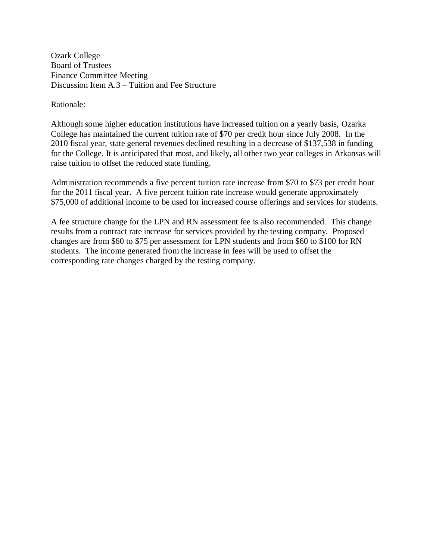Ozark College Board of Trustees Finance Committee Meeting Discussion Item A.3 – Tuition and Fee Structure

Rationale:

Although some higher education institutions have increased tuition on a yearly basis, Ozarka College has maintained the current tuition rate of \$70 per credit hour since July 2008. In the 2010 fiscal year, state general revenues declined resulting in a decrease of \$137,538 in funding for the College. It is anticipated that most, and likely, all other two year colleges in Arkansas will raise tuition to offset the reduced state funding.

Administration recommends a five percent tuition rate increase from \$70 to \$73 per credit hour for the 2011 fiscal year. A five percent tuition rate increase would generate approximately \$75,000 of additional income to be used for increased course offerings and services for students.

A fee structure change for the LPN and RN assessment fee is also recommended. This change results from a contract rate increase for services provided by the testing company. Proposed changes are from \$60 to \$75 per assessment for LPN students and from \$60 to \$100 for RN students. The income generated from the increase in fees will be used to offset the corresponding rate changes charged by the testing company.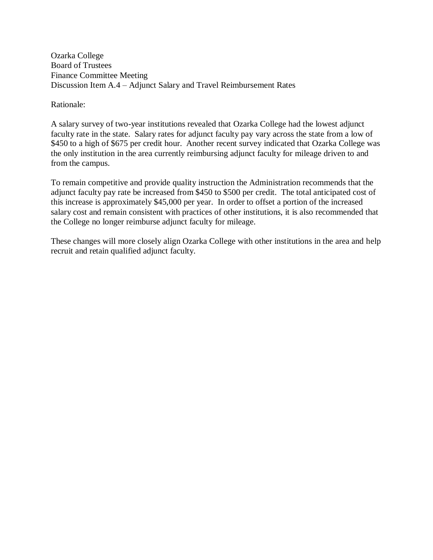Ozarka College Board of Trustees Finance Committee Meeting Discussion Item A.4 – Adjunct Salary and Travel Reimbursement Rates

Rationale:

A salary survey of two-year institutions revealed that Ozarka College had the lowest adjunct faculty rate in the state. Salary rates for adjunct faculty pay vary across the state from a low of \$450 to a high of \$675 per credit hour. Another recent survey indicated that Ozarka College was the only institution in the area currently reimbursing adjunct faculty for mileage driven to and from the campus.

To remain competitive and provide quality instruction the Administration recommends that the adjunct faculty pay rate be increased from \$450 to \$500 per credit. The total anticipated cost of this increase is approximately \$45,000 per year. In order to offset a portion of the increased salary cost and remain consistent with practices of other institutions, it is also recommended that the College no longer reimburse adjunct faculty for mileage.

These changes will more closely align Ozarka College with other institutions in the area and help recruit and retain qualified adjunct faculty.